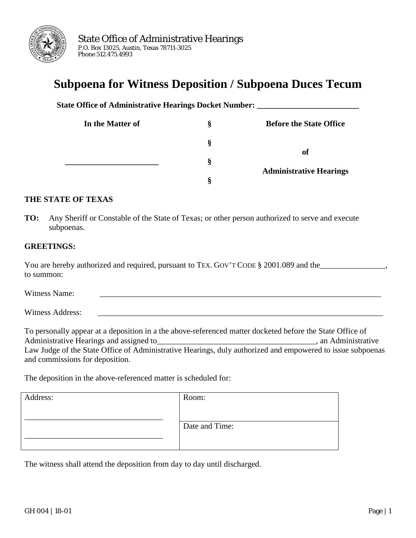

# **Subpoena for Witness Deposition / Subpoena Duces Tecum**

**State Office of Administrative Hearings Docket Number: In the Matter of § Before the State Office \_\_\_\_\_\_\_\_\_\_\_\_\_\_\_\_\_\_\_\_\_\_\_ § § § of Administrative Hearings**

#### **THE STATE OF TEXAS**

**TO:** Any Sheriff or Constable of the State of Texas; or other person authorized to serve and execute subpoenas.

#### **GREETINGS:**

| You are hereby authorized and required, pursuant to TEX. GOV'T CODE § 2001.089 and the |  |
|----------------------------------------------------------------------------------------|--|
| to summon:                                                                             |  |

Witness Name: \_\_\_\_\_\_\_\_\_\_\_\_\_\_\_\_\_\_\_\_\_\_\_\_\_\_\_\_\_\_\_\_\_\_\_\_\_\_\_\_\_\_\_\_\_\_\_\_\_\_\_\_\_\_\_\_\_\_\_\_\_\_\_\_\_\_\_\_\_

Witness Address:

To personally appear at a deposition in a the above-referenced matter docketed before the State Office of Administrative Hearings and assigned to each contract of the state of the state of the Administrative state of the state of the state of the state of the state of the state of the state of the state of the state of the sta Law Judge of the State Office of Administrative Hearings, duly authorized and empowered to issue subpoenas and commissions for deposition.

The deposition in the above-referenced matter is scheduled for:

| Address: | Room:          |
|----------|----------------|
|          | Date and Time: |

The witness shall attend the deposition from day to day until discharged.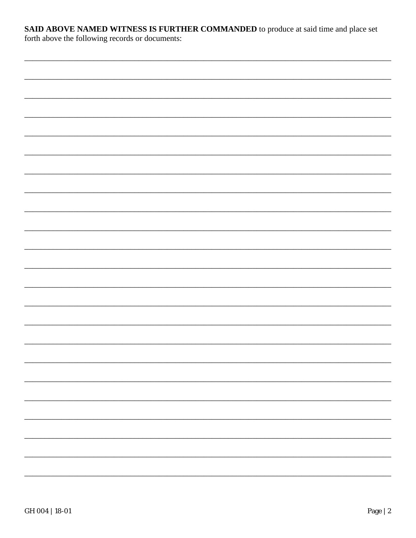## SAID ABOVE NAMED WITNESS IS FURTHER COMMANDED to produce at said time and place set

forth above the following records or documents: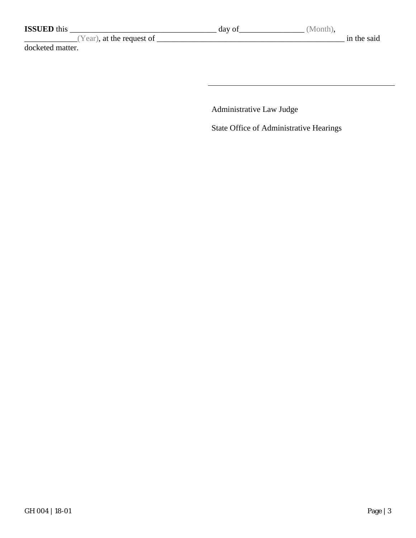| <b>ISSUED</b> this        | day of | (Month),    |
|---------------------------|--------|-------------|
| (Year), at the request of |        | in the said |
| docketed matter.          |        |             |
|                           |        |             |
|                           |        |             |

Administrative Law Judge

State Office of Administrative Hearings